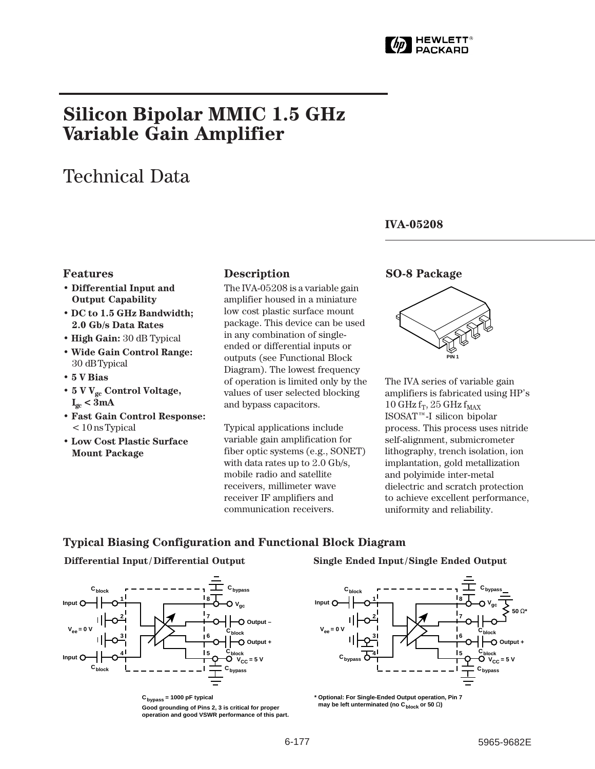

# **Silicon Bipolar MMIC 1.5 GHz Variable Gain Amplifier**

# Technical Data

### **IVA-05208**

#### **Features**

- **Differential Input and Output Capability**
- **DC to 1.5 GHz Bandwidth; 2.0 Gb/s Data Rates**
- **High Gain:** 30 dB Typical
- **Wide Gain Control Range:** 30␣ dB Typical
- **5 V Bias**
- **5 V Vgc Control Voltage,**  $I_{gc} < 3 mA$
- **Fast Gain Control Response:** < 10 ns Typical
- **Low Cost Plastic Surface Mount Package**

#### **Description**

The IVA-05208 is a variable gain amplifier housed in a miniature low cost plastic surface mount package. This device can be used in any combination of singleended or differential inputs or outputs (see Functional Block Diagram). The lowest frequency of operation is limited only by the values of user selected blocking and bypass capacitors.

Typical applications include variable gain amplification for fiber optic systems (e.g., SONET) with data rates up to 2.0 Gb/s, mobile radio and satellite receivers, millimeter wave receiver IF amplifiers and communication receivers.

#### **SO-8 Package**



The IVA series of variable gain amplifiers is fabricated using HP's 10 GHz  $f_T$ , 25 GHz  $f_{MAX}$ ISOSAT™-I silicon bipolar process. This process uses nitride self-alignment, submicrometer lithography, trench isolation, ion implantation, gold metallization and polyimide inter-metal dielectric and scratch protection to achieve excellent performance, uniformity and reliability.

#### **Typical Biasing Configuration and Functional Block Diagram**



 $C<sub>bypass</sub> = 1000$  pF typical **Good grounding of Pins 2, 3 is critical for proper operation and good VSWR performance of this part.**

#### **Differential Input/ Differential Output Single Ended Input/Single Ended Output**



**\* Optional: For Single-Ended Output operation, Pin 7 may be left unterminated (no C<sub>block</sub> or 50 Ω)**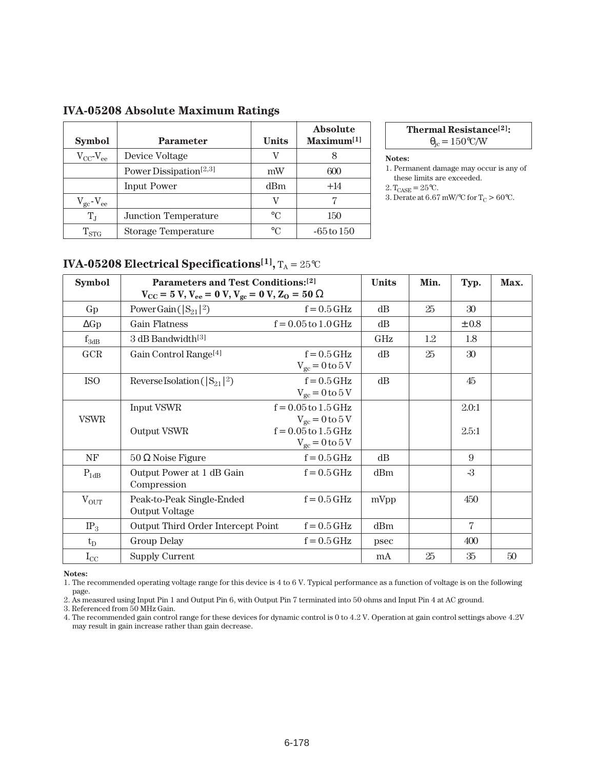| <b>Symbol</b>       | <b>Parameter</b>                   | <b>Units</b>    | <b>Absolute</b><br>Maximum <sup>[1]</sup> |
|---------------------|------------------------------------|-----------------|-------------------------------------------|
| $V_{CC}$ - $V_{ee}$ | Device Voltage                     |                 |                                           |
|                     | Power Dissipation <sup>[2,3]</sup> | mW              | 600                                       |
|                     | <b>Input Power</b>                 | d <sub>Bm</sub> | $+14$                                     |
| $V_{gc}$ - $V_{ee}$ |                                    | V               |                                           |
| $T_J$               | Junction Temperature               | $\circ$ C       | 150                                       |
| $\mathrm{T_{STG}}$  | <b>Storage Temperature</b>         | $\circ$ $\cap$  | -65 to 150                                |

### **IVA-05208 Absolute Maximum Ratings**

#### **Thermal Resistance[2]:**  $\theta_{\rm ic} = 150\degree\text{C/W}$

#### **Notes:**

- 1. Permanent damage may occur is any of these limits are exceeded.
- $2.\, \mathrm{T_{CASE}} = 25\, \mathrm{°C}.$
- 3. Derate at 6.67 mW/°C for  $T_c > 60$ °C.

## **IVA-05208 Electrical Specifications<sup>[1]</sup>**,  $T_A = 25^{\circ}C$

| <b>Symbol</b> | Parameters and Test Conditions:[2]                                               |                                                 | <b>Units</b> | Min. | Typ.           | Max. |
|---------------|----------------------------------------------------------------------------------|-------------------------------------------------|--------------|------|----------------|------|
|               | $V_{\text{CC}} = 5 V, V_{\text{ee}} = 0 V, V_{\text{gc}} = 0 V, Z_0 = 50 \Omega$ |                                                 |              |      |                |      |
| Gp            | Power Gain ( $ S_{21} ^2$ )                                                      | $f = 0.5$ GHz                                   | dB           | 25   | 30             |      |
| $\Delta Gp$   | <b>Gain Flatness</b>                                                             | $f = 0.05$ to $1.0$ GHz                         | dB           |      | $\pm~0.8$      |      |
| $f_{3dB}$     | 3 dB Bandwidth <sup>[3]</sup>                                                    |                                                 | <b>GHz</b>   | 1.2  | 1.8            |      |
| GCR           | Gain Control Range <sup>[4]</sup>                                                | $f = 0.5$ GHz<br>$V_{gc} = 0$ to $5V$           | dB           | 25   | 30             |      |
| <b>ISO</b>    | Reverse Isolation ( $ S_{21} ^2$ )                                               | $f = 0.5$ GHz<br>$V_{gc} = 0$ to $5V$           | dB           |      | 45             |      |
| <b>VSWR</b>   | <b>Input VSWR</b>                                                                | $f = 0.05$ to $1.5$ GHz<br>$V_{gc} = 0 to 5 V$  |              |      | 2.0:1          |      |
|               | Output VSWR                                                                      | $f = 0.05$ to $1.5$ GHz<br>$V_{gc} = 0$ to $5V$ |              |      | 2.5:1          |      |
| NF            | $50 \Omega$ Noise Figure                                                         | $f = 0.5$ GHz                                   | dB           |      | 9              |      |
| $P_{1dB}$     | Output Power at 1 dB Gain<br>Compression                                         | $f = 0.5$ GHz                                   | dBm          |      | $-3$           |      |
| $V_{OUT}$     | Peak-to-Peak Single-Ended<br>Output Voltage                                      | $f = 0.5$ GHz                                   | mVpp         |      | 450            |      |
| $IP_3$        | Output Third Order Intercept Point                                               | $f = 0.5$ GHz                                   | dBm          |      | $\overline{7}$ |      |
| $t_D$         | <b>Group Delay</b>                                                               | $f = 0.5$ GHz                                   | psec         |      | 400            |      |
| $I_{\rm CC}$  | <b>Supply Current</b>                                                            |                                                 | mA           | 25   | $35\,$         | 50   |

**Notes:**

1. The recommended operating voltage range for this device is 4 to 6 V. Typical performance as a function of voltage is on the following page.

2. As measured using Input Pin 1 and Output Pin 6, with Output Pin 7 terminated into 50 ohms and Input Pin 4 at AC ground.

3. Referenced from 50 MHz Gain.

4. The recommended gain control range for these devices for dynamic control is 0 to 4.2 V. Operation at gain control settings above 4.2V may result in gain increase rather than gain decrease.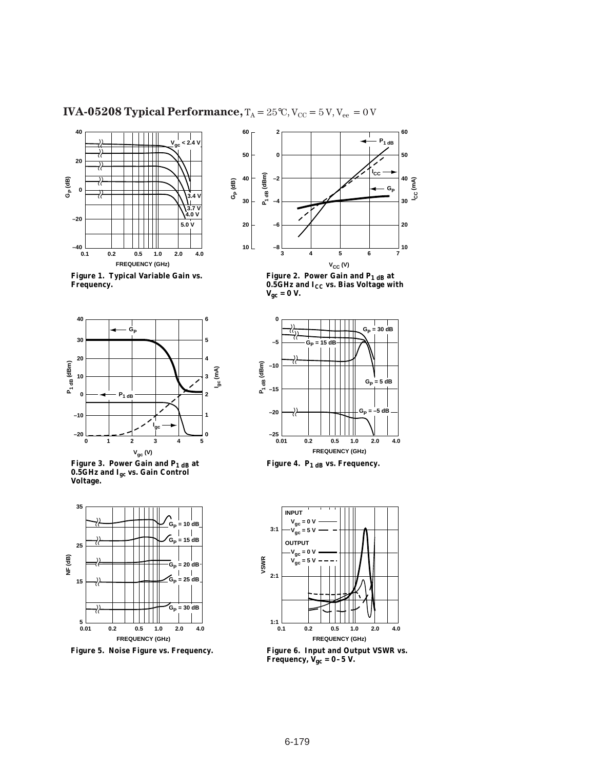### **IVA-05208 Typical Performance,**  $T_A = 25^{\circ}C$ ,  $V_{CC} = 5 V$ ,  $V_{ee} = 0 V$







**Figure 3. Power Gain and P1 dB at 0.5GHz and Igc vs. Gain Control Voltage.**



**Figure 5. Noise Figure vs. Frequency.**



Figure 2. Power Gain and P<sub>1 dB</sub> at **0.5GHz and ICC vs. Bias Voltage with Vgc = 0 V.**



Figure 4. P<sub>1 dB</sub> vs. Frequency.



**Figure 6. Input and Output VSWR vs. Frequency, Vgc = 0–5 V.**